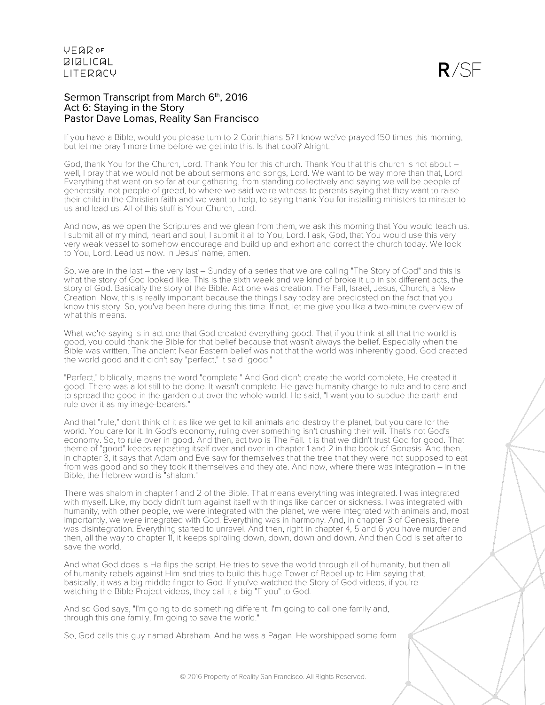

#### Sermon Transcript from March 6th, 2016 Act 6: Staying in the Story Pastor Dave Lomas, Reality San Francisco

If you have a Bible, would you please turn to 2 Corinthians 5? I know we've prayed 150 times this morning, but let me pray 1 more time before we get into this. Is that cool? Alright.

God, thank You for the Church, Lord. Thank You for this church. Thank You that this church is not about – well, I pray that we would not be about sermons and songs, Lord. We want to be way more than that, Lord. Everything that went on so far at our gathering, from standing collectively and saying we will be people of generosity, not people of greed, to where we said we're witness to parents saying that they want to raise their child in the Christian faith and we want to help, to saying thank You for installing ministers to minster to us and lead us. All of this stuff is Your Church, Lord.

And now, as we open the Scriptures and we glean from them, we ask this morning that You would teach us. I submit all of my mind, heart and soul, I submit it all to You, Lord. I ask, God, that You would use this very very weak vessel to somehow encourage and build up and exhort and correct the church today. We look to You, Lord. Lead us now. In Jesus' name, amen.

So, we are in the last – the very last – Sunday of a series that we are calling "The Story of God" and this is what the story of God looked like. This is the sixth week and we kind of broke it up in six different acts, the story of God. Basically the story of the Bible. Act one was creation. The Fall, Israel, Jesus, Church, a New Creation. Now, this is really important because the things I say today are predicated on the fact that you know this story. So, you've been here during this time. If not, let me give you like a two-minute overview of what this means.

What we're saying is in act one that God created everything good. That if you think at all that the world is good, you could thank the Bible for that belief because that wasn't always the belief. Especially when the Bible was written. The ancient Near Eastern belief was not that the world was inherently good. God created the world good and it didn't say "perfect," it said "good."

"Perfect," biblically, means the word "complete." And God didn't create the world complete, He created it good. There was a lot still to be done. It wasn't complete. He gave humanity charge to rule and to care and to spread the good in the garden out over the whole world. He said, "I want you to subdue the earth and rule over it as my image-bearers."

And that "rule," don't think of it as like we get to kill animals and destroy the planet, but you care for the world. You care for it. In God's economy, ruling over something isn't crushing their will. That's not God's economy. So, to rule over in good. And then, act two is The Fall. It is that we didn't trust God for good. That theme of "good" keeps repeating itself over and over in chapter 1 and 2 in the book of Genesis. And then, in chapter 3, it says that Adam and Eve saw for themselves that the tree that they were not supposed to eat from was good and so they took it themselves and they ate. And now, where there was integration – in the Bible, the Hebrew word is "shalom."

There was shalom in chapter 1 and 2 of the Bible. That means everything was integrated. I was integrated with myself. Like, my body didn't turn against itself with things like cancer or sickness. I was integrated with humanity, with other people, we were integrated with the planet, we were integrated with animals and, most importantly, we were integrated with God. Everything was in harmony. And, in chapter 3 of Genesis, there was disintegration. Everything started to unravel. And then, right in chapter 4, 5 and 6 you have murder and then, all the way to chapter 11, it keeps spiraling down, down, down and down. And then God is set after to save the world.

And what God does is He flips the script. He tries to save the world through all of humanity, but then all of humanity rebels against Him and tries to build this huge Tower of Babel up to Him saying that, basically, it was a big middle finger to God. If you've watched the Story of God videos, if you're watching the Bible Project videos, they call it a big "F you" to God.

And so God says, "I'm going to do something different. I'm going to call one family and, through this one family, I'm going to save the world."

So, God calls this guy named Abraham. And he was a Pagan. He worshipped some form

© 2016 Property of Reality San Francisco. All Rights Reserved.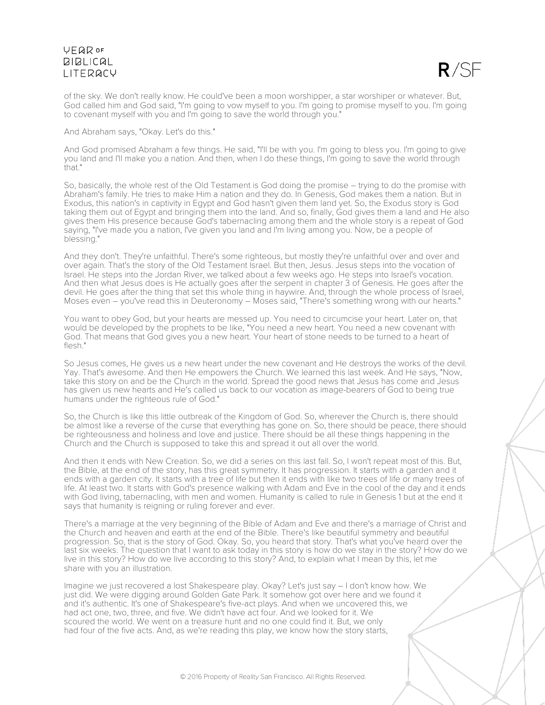

of the sky. We don't really know. He could've been a moon worshipper, a star worshiper or whatever. But, God called him and God said, "I'm going to vow myself to you. I'm going to promise myself to you. I'm going to covenant myself with you and I'm going to save the world through you."

And Abraham says, "Okay. Let's do this."

And God promised Abraham a few things. He said, "I'll be with you. I'm going to bless you. I'm going to give you land and I'll make you a nation. And then, when I do these things, I'm going to save the world through that."

So, basically, the whole rest of the Old Testament is God doing the promise – trying to do the promise with Abraham's family. He tries to make Him a nation and they do. In Genesis, God makes them a nation. But in Exodus, this nation's in captivity in Egypt and God hasn't given them land yet. So, the Exodus story is God taking them out of Egypt and bringing them into the land. And so, finally, God gives them a land and He also gives them His presence because God's tabernacling among them and the whole story is a repeat of God saying, "I've made you a nation, I've given you land and I'm living among you. Now, be a people of blessing."

And they don't. They're unfaithful. There's some righteous, but mostly they're unfaithful over and over and over again. That's the story of the Old Testament Israel. But then, Jesus. Jesus steps into the vocation of Israel. He steps into the Jordan River, we talked about a few weeks ago. He steps into Israel's vocation. And then what Jesus does is He actually goes after the serpent in chapter 3 of Genesis. He goes after the devil. He goes after the thing that set this whole thing in haywire. And, through the whole process of Israel, Moses even – you've read this in Deuteronomy – Moses said, "There's something wrong with our hearts."

You want to obey God, but your hearts are messed up. You need to circumcise your heart. Later on, that would be developed by the prophets to be like, "You need a new heart. You need a new covenant with God. That means that God gives you a new heart. Your heart of stone needs to be turned to a heart of flesh"

So Jesus comes, He gives us a new heart under the new covenant and He destroys the works of the devil. Yay. That's awesome. And then He empowers the Church. We learned this last week. And He says, "Now, take this story on and be the Church in the world. Spread the good news that Jesus has come and Jesus has given us new hearts and He's called us back to our vocation as image-bearers of God to being true humans under the righteous rule of God."

So, the Church is like this little outbreak of the Kingdom of God. So, wherever the Church is, there should be almost like a reverse of the curse that everything has gone on. So, there should be peace, there should be righteousness and holiness and love and justice. There should be all these things happening in the Church and the Church is supposed to take this and spread it out all over the world.

And then it ends with New Creation. So, we did a series on this last fall. So, I won't repeat most of this. But, the Bible, at the end of the story, has this great symmetry. It has progression. It starts with a garden and it ends with a garden city. It starts with a tree of life but then it ends with like two trees of life or many trees of life. At least two. It starts with God's presence walking with Adam and Eve in the cool of the day and it ends with God living, tabernacling, with men and women. Humanity is called to rule in Genesis 1 but at the end it says that humanity is reigning or ruling forever and ever.

There's a marriage at the very beginning of the Bible of Adam and Eve and there's a marriage of Christ and the Church and heaven and earth at the end of the Bible. There's like beautiful symmetry and beautiful progression. So, that is the story of God. Okay. So, you heard that story. That's what you've heard over the last six weeks. The question that I want to ask today in this story is how do we stay in the story? How do we live in this story? How do we live according to this story? And, to explain what I mean by this, let me share with you an illustration.

Imagine we just recovered a lost Shakespeare play. Okay? Let's just say – I don't know how. We just did. We were digging around Golden Gate Park. It somehow got over here and we found it and it's authentic. It's one of Shakespeare's five-act plays. And when we uncovered this, we had act one, two, three, and five. We didn't have act four. And we looked for it. We scoured the world. We went on a treasure hunt and no one could find it. But, we only had four of the five acts. And, as we're reading this play, we know how the story starts,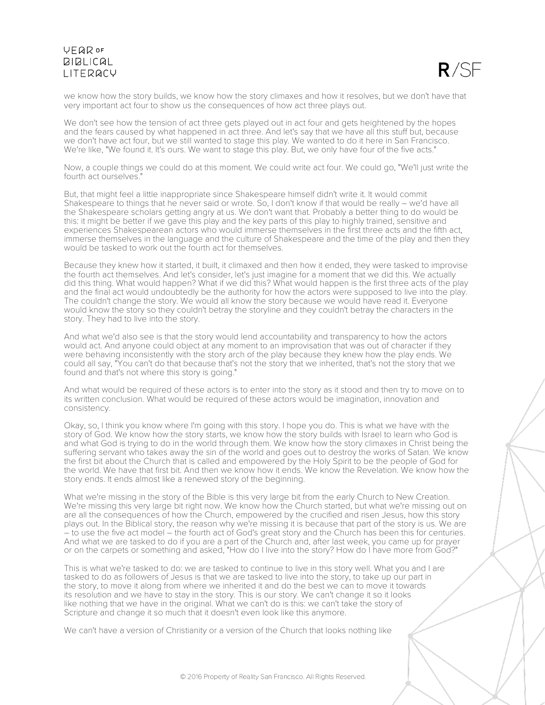

we know how the story builds, we know how the story climaxes and how it resolves, but we don't have that very important act four to show us the consequences of how act three plays out.

We don't see how the tension of act three gets played out in act four and gets heightened by the hopes and the fears caused by what happened in act three. And let's say that we have all this stuff but, because we don't have act four, but we still wanted to stage this play. We wanted to do it here in San Francisco. We're like, "We found it. It's ours. We want to stage this play. But, we only have four of the five acts."

Now, a couple things we could do at this moment. We could write act four. We could go, "We'll just write the fourth act ourselves."

But, that might feel a little inappropriate since Shakespeare himself didn't write it. It would commit Shakespeare to things that he never said or wrote. So, I don't know if that would be really – we'd have all the Shakespeare scholars getting angry at us. We don't want that. Probably a better thing to do would be this: it might be better if we gave this play and the key parts of this play to highly trained, sensitive and experiences Shakespearean actors who would immerse themselves in the first three acts and the fifth act, immerse themselves in the language and the culture of Shakespeare and the time of the play and then they would be tasked to work out the fourth act for themselves.

Because they knew how it started, it built, it climaxed and then how it ended, they were tasked to improvise the fourth act themselves. And let's consider, let's just imagine for a moment that we did this. We actually did this thing. What would happen? What if we did this? What would happen is the first three acts of the play and the final act would undoubtedly be the authority for how the actors were supposed to live into the play. The couldn't change the story. We would all know the story because we would have read it. Everyone would know the story so they couldn't betray the storyline and they couldn't betray the characters in the story. They had to live into the story.

And what we'd also see is that the story would lend accountability and transparency to how the actors would act. And anyone could object at any moment to an improvisation that was out of character if they were behaving inconsistently with the story arch of the play because they knew how the play ends. We could all say, "You can't do that because that's not the story that we inherited, that's not the story that we found and that's not where this story is going."

And what would be required of these actors is to enter into the story as it stood and then try to move on to its written conclusion. What would be required of these actors would be imagination, innovation and consistency.

Okay, so, I think you know where I'm going with this story. I hope you do. This is what we have with the story of God. We know how the story starts, we know how the story builds with Israel to learn who God is and what God is trying to do in the world through them. We know how the story climaxes in Christ being the suffering servant who takes away the sin of the world and goes out to destroy the works of Satan. We know the first bit about the Church that is called and empowered by the Holy Spirit to be the people of God for the world. We have that first bit. And then we know how it ends. We know the Revelation. We know how the story ends. It ends almost like a renewed story of the beginning.

What we're missing in the story of the Bible is this very large bit from the early Church to New Creation. We're missing this very large bit right now. We know how the Church started, but what we're missing out on are all the consequences of how the Church, empowered by the crucified and risen Jesus, how this story plays out. In the Biblical story, the reason why we're missing it is because that part of the story is us. We are – to use the five act model – the fourth act of God's great story and the Church has been this for centuries. And what we are tasked to do if you are a part of the Church and, after last week, you came up for prayer or on the carpets or something and asked, "How do I live into the story? How do I have more from God?"

This is what we're tasked to do: we are tasked to continue to live in this story well. What you and I are tasked to do as followers of Jesus is that we are tasked to live into the story, to take up our part in the story, to move it along from where we inherited it and do the best we can to move it towards its resolution and we have to stay in the story. This is our story. We can't change it so it looks like nothing that we have in the original. What we can't do is this: we can't take the story of Scripture and change it so much that it doesn't even look like this anymore.

We can't have a version of Christianity or a version of the Church that looks nothing like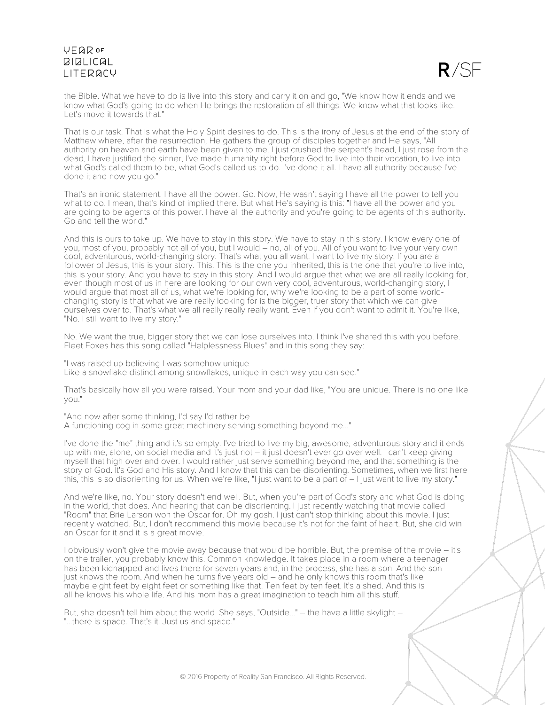

the Bible. What we have to do is live into this story and carry it on and go, "We know how it ends and we know what God's going to do when He brings the restoration of all things. We know what that looks like. Let's move it towards that."

That is our task. That is what the Holy Spirit desires to do. This is the irony of Jesus at the end of the story of Matthew where, after the resurrection, He gathers the group of disciples together and He says, "All authority on heaven and earth have been given to me. I just crushed the serpent's head, I just rose from the dead, I have justified the sinner, I've made humanity right before God to live into their vocation, to live into what God's called them to be, what God's called us to do. I've done it all. I have all authority because I've done it and now you go."

That's an ironic statement. I have all the power. Go. Now, He wasn't saying I have all the power to tell you what to do. I mean, that's kind of implied there. But what He's saying is this: "I have all the power and you are going to be agents of this power. I have all the authority and you're going to be agents of this authority. Go and tell the world."

And this is ours to take up. We have to stay in this story. We have to stay in this story. I know every one of you, most of you, probably not all of you, but I would – no, all of you. All of you want to live your very own cool, adventurous, world-changing story. That's what you all want. I want to live my story. If you are a follower of Jesus, this is your story. This. This is the one you inherited, this is the one that you're to live into, this is your story. And you have to stay in this story. And I would argue that what we are all really looking for, even though most of us in here are looking for our own very cool, adventurous, world-changing story, I would argue that most all of us, what we're looking for, why we're looking to be a part of some worldchanging story is that what we are really looking for is the bigger, truer story that which we can give ourselves over to. That's what we all really really really want. Even if you don't want to admit it. You're like, "No. I still want to live my story."

No. We want the true, bigger story that we can lose ourselves into. I think I've shared this with you before. Fleet Foxes has this song called "Helplessness Blues" and in this song they say:

"I was raised up believing I was somehow unique Like a snowflake distinct among snowflakes, unique in each way you can see."

That's basically how all you were raised. Your mom and your dad like, "You are unique. There is no one like you."

"And now after some thinking, I'd say I'd rather be A functioning cog in some great machinery serving something beyond me..."

I've done the "me" thing and it's so empty. I've tried to live my big, awesome, adventurous story and it ends up with me, alone, on social media and it's just not – it just doesn't ever go over well. I can't keep giving myself that high over and over. I would rather just serve something beyond me, and that something is the story of God. It's God and His story. And I know that this can be disorienting. Sometimes, when we first here this, this is so disorienting for us. When we're like, "I just want to be a part of  $-1$  just want to live my story."

And we're like, no. Your story doesn't end well. But, when you're part of God's story and what God is doing in the world, that does. And hearing that can be disorienting. I just recently watching that movie called "Room" that Brie Larson won the Oscar for. Oh my gosh. I just can't stop thinking about this movie. I just recently watched. But, I don't recommend this movie because it's not for the faint of heart. But, she did win an Oscar for it and it is a great movie.

I obviously won't give the movie away because that would be horrible. But, the premise of the movie – it's on the trailer, you probably know this. Common knowledge. It takes place in a room where a teenager has been kidnapped and lives there for seven years and, in the process, she has a son. And the son just knows the room. And when he turns five years old – and he only knows this room that's like maybe eight feet by eight feet or something like that. Ten feet by ten feet. It's a shed. And this is all he knows his whole life. And his mom has a great imagination to teach him all this stuff.

But, she doesn't tell him about the world. She says, "Outside..." – the have a little skylight – "...there is space. That's it. Just us and space."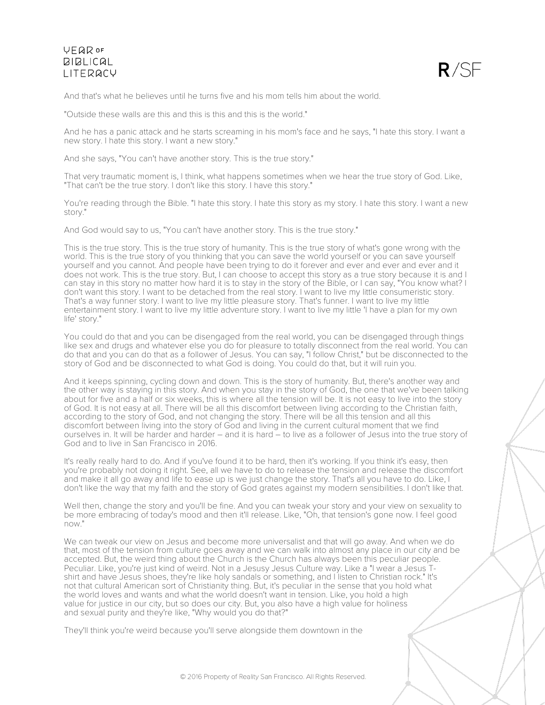

And that's what he believes until he turns five and his mom tells him about the world.

"Outside these walls are this and this is this and this is the world."

And he has a panic attack and he starts screaming in his mom's face and he says, "I hate this story. I want a new story. I hate this story. I want a new story."

And she says, "You can't have another story. This is the true story."

That very traumatic moment is, I think, what happens sometimes when we hear the true story of God. Like, "That can't be the true story. I don't like this story. I have this story."

You're reading through the Bible. "I hate this story. I hate this story as my story. I hate this story. I want a new story."

And God would say to us, "You can't have another story. This is the true story."

This is the true story. This is the true story of humanity. This is the true story of what's gone wrong with the world. This is the true story of you thinking that you can save the world yourself or you can save yourself yourself and you cannot. And people have been trying to do it forever and ever and ever and ever and it does not work. This is the true story. But, I can choose to accept this story as a true story because it is and I can stay in this story no matter how hard it is to stay in the story of the Bible, or I can say, "You know what? I don't want this story. I want to be detached from the real story. I want to live my little consumeristic story. That's a way funner story. I want to live my little pleasure story. That's funner. I want to live my little entertainment story. I want to live my little adventure story. I want to live my little 'I have a plan for my own life' story."

You could do that and you can be disengaged from the real world, you can be disengaged through things like sex and drugs and whatever else you do for pleasure to totally disconnect from the real world. You can do that and you can do that as a follower of Jesus. You can say, "I follow Christ," but be disconnected to the story of God and be disconnected to what God is doing. You could do that, but it will ruin you.

And it keeps spinning, cycling down and down. This is the story of humanity. But, there's another way and the other way is staying in this story. And when you stay in the story of God, the one that we've been talking about for five and a half or six weeks, this is where all the tension will be. It is not easy to live into the story of God. It is not easy at all. There will be all this discomfort between living according to the Christian faith, according to the story of God, and not changing the story. There will be all this tension and all this discomfort between living into the story of God and living in the current cultural moment that we find ourselves in. It will be harder and harder – and it is hard – to live as a follower of Jesus into the true story of God and to live in San Francisco in 2016.

It's really really hard to do. And if you've found it to be hard, then it's working. If you think it's easy, then you're probably not doing it right. See, all we have to do to release the tension and release the discomfort and make it all go away and life to ease up is we just change the story. That's all you have to do. Like, I don't like the way that my faith and the story of God grates against my modern sensibilities. I don't like that.

Well then, change the story and you'll be fine. And you can tweak your story and your view on sexuality to be more embracing of today's mood and then it'll release. Like, "Oh, that tension's gone now. I feel good now."

We can tweak our view on Jesus and become more universalist and that will go away. And when we do that, most of the tension from culture goes away and we can walk into almost any place in our city and be accepted. But, the weird thing about the Church is the Church has always been this peculiar people. Peculiar. Like, you're just kind of weird. Not in a Jesusy Jesus Culture way. Like a "I wear a Jesus Tshirt and have Jesus shoes, they're like holy sandals or something, and I listen to Christian rock." It's not that cultural American sort of Christianity thing. But, it's peculiar in the sense that you hold what the world loves and wants and what the world doesn't want in tension. Like, you hold a high value for justice in our city, but so does our city. But, you also have a high value for holiness and sexual purity and they're like, "Why would you do that?"

They'll think you're weird because you'll serve alongside them downtown in the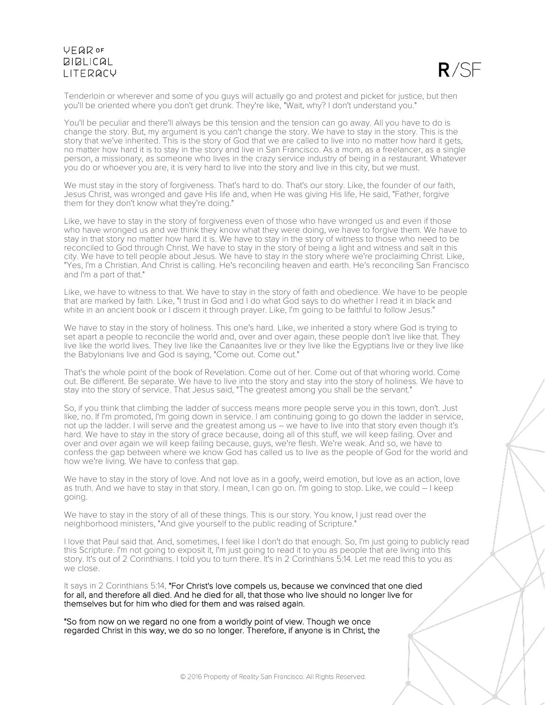$R/SF$ 

Tenderloin or wherever and some of you guys will actually go and protest and picket for justice, but then you'll be oriented where you don't get drunk. They're like, "Wait, why? I don't understand you."

You'll be peculiar and there'll always be this tension and the tension can go away. All you have to do is change the story. But, my argument is you can't change the story. We have to stay in the story. This is the story that we've inherited. This is the story of God that we are called to live into no matter how hard it gets, no matter how hard it is to stay in the story and live in San Francisco. As a mom, as a freelancer, as a single person, a missionary, as someone who lives in the crazy service industry of being in a restaurant. Whatever you do or whoever you are, it is very hard to live into the story and live in this city, but we must.

We must stay in the story of forgiveness. That's hard to do. That's our story. Like, the founder of our faith, Jesus Christ, was wronged and gave His life and, when He was giving His life, He said, "Father, forgive them for they don't know what they're doing."

Like, we have to stay in the story of forgiveness even of those who have wronged us and even if those who have wronged us and we think they know what they were doing, we have to forgive them. We have to stay in that story no matter how hard it is. We have to stay in the story of witness to those who need to be reconciled to God through Christ. We have to stay in the story of being a light and witness and salt in this city. We have to tell people about Jesus. We have to stay in the story where we're proclaiming Christ. Like, "Yes, I'm a Christian. And Christ is calling. He's reconciling heaven and earth. He's reconciling San Francisco and I'm a part of that."

Like, we have to witness to that. We have to stay in the story of faith and obedience. We have to be people that are marked by faith. Like, "I trust in God and I do what God says to do whether I read it in black and white in an ancient book or I discern it through prayer. Like, I'm going to be faithful to follow Jesus."

We have to stay in the story of holiness. This one's hard. Like, we inherited a story where God is trying to set apart a people to reconcile the world and, over and over again, these people don't live like that. They live like the world lives. They live like the Canaanites live or they live like the Egyptians live or they live like the Babylonians live and God is saying, "Come out. Come out."

That's the whole point of the book of Revelation. Come out of her. Come out of that whoring world. Come out. Be different. Be separate. We have to live into the story and stay into the story of holiness. We have to stay into the story of service. That Jesus said, "The greatest among you shall be the servant."

So, if you think that climbing the ladder of success means more people serve you in this town, don't. Just like, no. If I'm promoted, I'm going down in service. I am continuing going to go down the ladder in service, not up the ladder. I will serve and the greatest among us – we have to live into that story even though it's hard. We have to stay in the story of grace because, doing all of this stuff, we will keep failing. Over and over and over again we will keep failing because, guys, we're flesh. We're weak. And so, we have to confess the gap between where we know God has called us to live as the people of God for the world and how we're living. We have to confess that gap.

We have to stay in the story of love. And not love as in a goofy, weird emotion, but love as an action, love as truth. And we have to stay in that story. I mean, I can go on. I'm going to stop. Like, we could – I keep going.

We have to stay in the story of all of these things. This is our story. You know, I just read over the neighborhood ministers, "And give yourself to the public reading of Scripture."

I love that Paul said that. And, sometimes, I feel like I don't do that enough. So, I'm just going to publicly read this Scripture. I'm not going to exposit it, I'm just going to read it to you as people that are living into this story. It's out of 2 Corinthians. I told you to turn there. It's in 2 Corinthians 5:14. Let me read this to you as we close.

It says in 2 Corinthians 5:14, "For Christ's love compels us, because we convinced that one died for all, and therefore all died. And he died for all, that those who live should no longer live for themselves but for him who died for them and was raised again.

"So from now on we regard no one from a worldly point of view. Though we once regarded Christ in this way, we do so no longer. Therefore, if anyone is in Christ, the